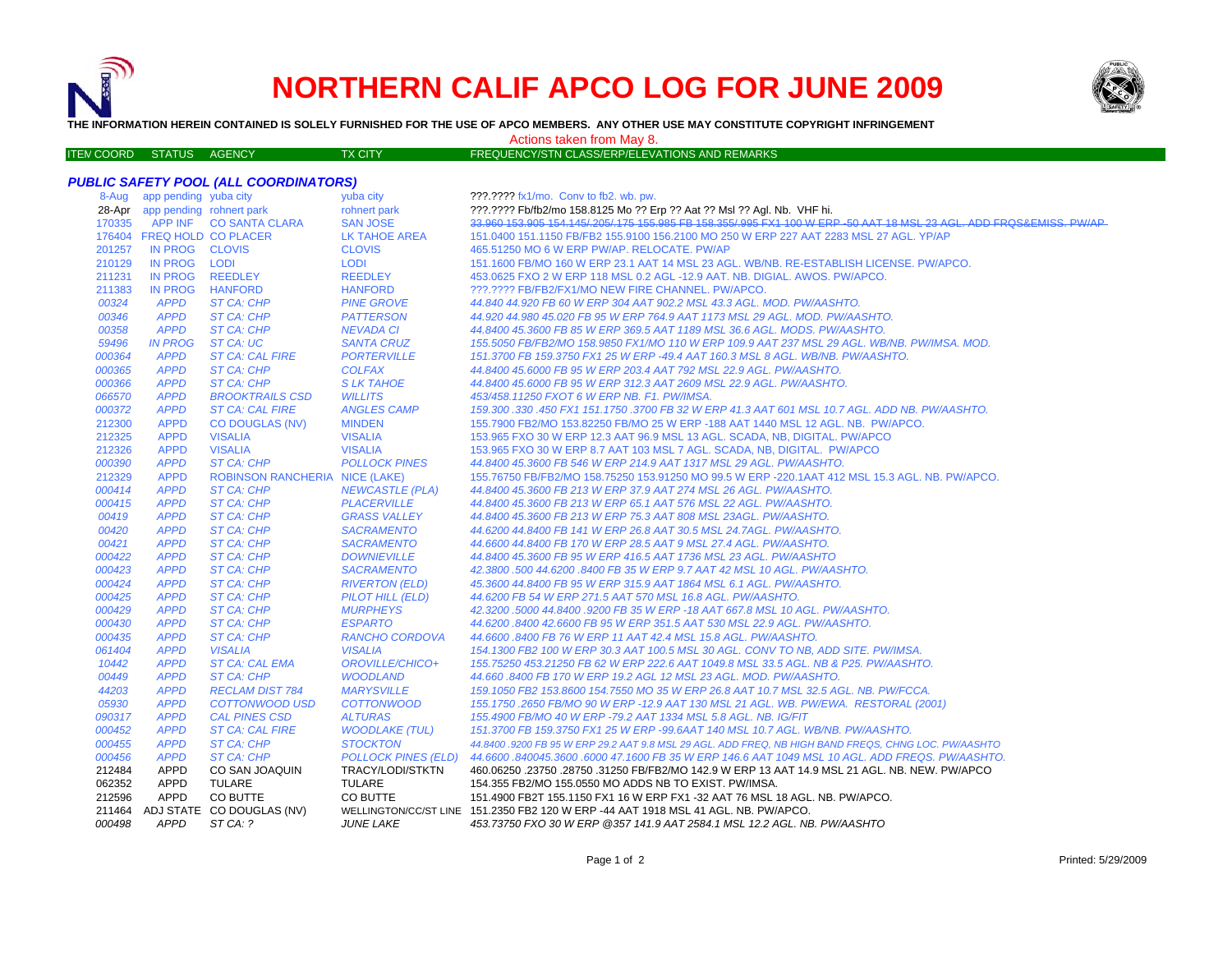

## **NORTHERN CALIF APCO LOG FOR JUNE 2009**



**THE INFORMATION HEREIN CONTAINED IS SOLELY FURNISHED FOR THE USE OF APCO MEMBERS. ANY OTHER USE MAY CONSTITUTE COPYRIGHT INFRINGEMENT**

## Actions taken from May 8.

| ITEM COORD STATUS AGENCY |  | <b>TX CITY</b> | FREQUENCY/STN CLASS/ERP/ELEVATIONS AND REMARKS |
|--------------------------|--|----------------|------------------------------------------------|

## *PUBLIC SAFETY POOL (ALL COORDINATORS)*

| 8-Aug  | app pending yuba city           |                                       | yuba city                  | ???.???? fx1/mo. Conv to fb2. wb. pw.                                                                               |
|--------|---------------------------------|---------------------------------------|----------------------------|---------------------------------------------------------------------------------------------------------------------|
|        | 28-Apr app pending rohnert park |                                       | rohnert park               | ???.???? Fb/fb2/mo 158.8125 Mo ?? Erp ?? Aat ?? Msl ?? Agl. Nb. VHF hi.                                             |
| 170335 |                                 | APP INF CO SANTA CLARA                | <b>SAN JOSE</b>            | 33.960 153.905 154.145/.205/.175 155.985 FB 158.355/.995 FX1 100 W ERP -50 AAT 18 MSL 23 AGL. ADD FRQS&EMISS, PW/AP |
|        | 176404 FREQ HOLD CO PLACER      |                                       | <b>LK TAHOE AREA</b>       | 151.0400 151.1150 FB/FB2 155.9100 156.2100 MO 250 W ERP 227 AAT 2283 MSL 27 AGL. YP/AP                              |
| 201257 | IN PROG CLOVIS                  |                                       | <b>CLOVIS</b>              | 465.51250 MO 6 W ERP PW/AP. RELOCATE. PW/AP                                                                         |
| 210129 | IN PROG LODI                    |                                       | <b>LODI</b>                | 151.1600 FB/MO 160 W ERP 23.1 AAT 14 MSL 23 AGL. WB/NB. RE-ESTABLISH LICENSE. PW/APCO.                              |
| 211231 | <b>IN PROG</b>                  | <b>REEDLEY</b>                        | <b>REEDLEY</b>             | 453.0625 FXO 2 W ERP 118 MSL 0.2 AGL -12.9 AAT. NB. DIGIAL. AWOS. PW/APCO.                                          |
| 211383 | IN PROG                         | <b>HANFORD</b>                        | <b>HANFORD</b>             | ???.???? FB/FB2/FX1/MO NEW FIRE CHANNEL. PW/APCO.                                                                   |
| 00324  | <b>APPD</b>                     | ST CA: CHP                            | <b>PINE GROVE</b>          | 44.840 44.920 FB 60 W ERP 304 AAT 902.2 MSL 43.3 AGL. MOD. PW/AASHTO.                                               |
| 00346  | <b>APPD</b>                     | ST CA: CHP                            | <b>PATTERSON</b>           | 44.920 44.980 45.020 FB 95 W ERP 764.9 AAT 1173 MSL 29 AGL. MOD. PW/AASHTO.                                         |
| 00358  | <b>APPD</b>                     | ST CA: CHP                            | <b>NEVADA CI</b>           | 44.8400 45.3600 FB 85 W ERP 369.5 AAT 1189 MSL 36.6 AGL. MODS. PW/AASHTO.                                           |
| 59496  | <b>IN PROG</b>                  | ST CA: UC                             | <b>SANTA CRUZ</b>          | 155.5050 FB/FB2/MO 158.9850 FX1/MO 110 W ERP 109.9 AAT 237 MSL 29 AGL. WB/NB. PW/IMSA. MOD.                         |
| 000364 | <b>APPD</b>                     | <b>ST CA: CAL FIRE</b>                | <b>PORTERVILLE</b>         | 151.3700 FB 159.3750 FX1 25 W ERP -49.4 AAT 160.3 MSL 8 AGL. WB/NB. PW/AASHTO.                                      |
| 000365 | <b>APPD</b>                     | <b>ST CA: CHP</b>                     | <b>COLFAX</b>              | 44.8400 45.6000 FB 95 W ERP 203.4 AAT 792 MSL 22.9 AGL. PW/AASHTO.                                                  |
| 000366 | <b>APPD</b>                     | ST CA: CHP                            | <b>SLK TAHOE</b>           | 44.8400 45.6000 FB 95 W ERP 312.3 AAT 2609 MSL 22.9 AGL. PW/AASHTO.                                                 |
| 066570 | <b>APPD</b>                     | <b>BROOKTRAILS CSD</b>                | <b>WILLITS</b>             | 453/458.11250 FXOT 6 W ERP NB. F1. PW/IMSA.                                                                         |
| 000372 | <b>APPD</b>                     | <b>ST CA: CAL FIRE</b>                | <b>ANGLES CAMP</b>         | 159.300 .330 .450 FX1 151.1750 .3700 FB 32 W ERP 41.3 AAT 601 MSL 10.7 AGL. ADD NB. PW/AASHTO.                      |
| 212300 | <b>APPD</b>                     | <b>CO DOUGLAS (NV)</b>                | <b>MINDEN</b>              | 155.7900 FB2/MO 153.82250 FB/MO 25 W ERP -188 AAT 1440 MSL 12 AGL. NB. PW/APCO.                                     |
| 212325 | <b>APPD</b>                     | <b>VISALIA</b>                        | <b>VISALIA</b>             | 153.965 FXO 30 W ERP 12.3 AAT 96.9 MSL 13 AGL. SCADA, NB, DIGITAL. PW/APCO                                          |
| 212326 | <b>APPD</b>                     | <b>VISALIA</b>                        | <b>VISALIA</b>             | 153.965 FXO 30 W ERP 8.7 AAT 103 MSL 7 AGL. SCADA, NB, DIGITAL. PW/APCO                                             |
| 000390 | <b>APPD</b>                     | ST CA: CHP                            | <b>POLLOCK PINES</b>       | 44.8400 45.3600 FB 546 W ERP 214.9 AAT 1317 MSL 29 AGL. PW/AASHTO.                                                  |
| 212329 | <b>APPD</b>                     | <b>ROBINSON RANCHERIA NICE (LAKE)</b> |                            | 155.76750 FB/FB2/MO 158.75250 153.91250 MO 99.5 W ERP -220.1AAT 412 MSL 15.3 AGL. NB. PW/APCO.                      |
| 000414 | <b>APPD</b>                     | <b>ST CA: CHP</b>                     | <b>NEWCASTLE (PLA)</b>     | 44.8400 45.3600 FB 213 W ERP 37.9 AAT 274 MSL 26 AGL. PW/AASHTO.                                                    |
| 000415 | <b>APPD</b>                     | ST CA: CHP                            | <b>PLACERVILLE</b>         | 44.8400 45.3600 FB 213 W ERP 65.1 AAT 576 MSL 22 AGL. PW/AASHTO.                                                    |
| 00419  | <b>APPD</b>                     | ST CA: CHP                            | <b>GRASS VALLEY</b>        | 44.8400 45.3600 FB 213 W ERP 75.3 AAT 808 MSL 23AGL. PW/AASHTO.                                                     |
| 00420  | <b>APPD</b>                     | ST CA: CHP                            | <b>SACRAMENTO</b>          | 44.6200 44.8400 FB 141 W ERP 26.8 AAT 30.5 MSL 24.7AGL. PW/AASHTO.                                                  |
| 00421  | <b>APPD</b>                     | ST CA: CHP                            | <b>SACRAMENTO</b>          | 44.6600 44.8400 FB 170 W ERP 28.5 AAT 9 MSL 27.4 AGL, PW/AASHTO.                                                    |
| 000422 | <b>APPD</b>                     | ST CA: CHP                            | <b>DOWNIEVILLE</b>         | 44.8400 45.3600 FB 95 W ERP 416.5 AAT 1736 MSL 23 AGL. PW/AASHTO                                                    |
| 000423 | <b>APPD</b>                     | ST CA: CHP                            | <b>SACRAMENTO</b>          | 42.3800 .500 44.6200 .8400 FB 35 W ERP 9.7 AAT 42 MSL 10 AGL. PW/AASHTO.                                            |
| 000424 | <b>APPD</b>                     | ST CA: CHP                            | <b>RIVERTON (ELD)</b>      | 45.3600 44.8400 FB 95 W ERP 315.9 AAT 1864 MSL 6.1 AGL. PW/AASHTO.                                                  |
| 000425 | <b>APPD</b>                     | ST CA: CHP                            | PILOT HILL (ELD)           | 44.6200 FB 54 W ERP 271.5 AAT 570 MSL 16.8 AGL. PW/AASHTO.                                                          |
| 000429 | <b>APPD</b>                     | ST CA: CHP                            | <b>MURPHEYS</b>            | 42.3200 .5000 44.8400 .9200 FB 35 W ERP -18 AAT 667.8 MSL 10 AGL. PW/AASHTO.                                        |
| 000430 | <b>APPD</b>                     | ST CA: CHP                            | <b>ESPARTO</b>             | 44.6200 .8400 42.6600 FB 95 W ERP 351.5 AAT 530 MSL 22.9 AGL, PW/AASHTO,                                            |
| 000435 | <b>APPD</b>                     | ST CA: CHP                            | <b>RANCHO CORDOVA</b>      | 44.6600.8400 FB 76 W ERP 11 AAT 42.4 MSL 15.8 AGL. PW/AASHTO.                                                       |
| 061404 | <b>APPD</b>                     | <b>VISALIA</b>                        | <b>VISALIA</b>             | 154.1300 FB2 100 W ERP 30.3 AAT 100.5 MSL 30 AGL. CONV TO NB, ADD SITE. PW/IMSA.                                    |
| 10442  | <b>APPD</b>                     | <b>ST CA: CAL EMA</b>                 | OROVILLE/CHICO+            | 155.75250 453.21250 FB 62 W ERP 222.6 AAT 1049.8 MSL 33.5 AGL. NB & P25. PW/AASHTO.                                 |
| 00449  | <b>APPD</b>                     | ST CA: CHP                            | <b>WOODLAND</b>            | 44.660 .8400 FB 170 W ERP 19.2 AGL 12 MSL 23 AGL. MOD. PW/AASHTO.                                                   |
| 44203  | <b>APPD</b>                     | <b>RECLAM DIST 784</b>                | <b>MARYSVILLE</b>          | 159.1050 FB2 153.8600 154.7550 MO 35 W ERP 26.8 AAT 10.7 MSL 32.5 AGL. NB. PW/FCCA.                                 |
| 05930  | <b>APPD</b>                     | COTTONWOOD USD                        | <b>COTTONWOOD</b>          | 155.1750.2650 FB/MO 90 W ERP -12.9 AAT 130 MSL 21 AGL. WB. PW/EWA. RESTORAL (2001)                                  |
| 090317 | <b>APPD</b>                     | <b>CAL PINES CSD</b>                  | <b>ALTURAS</b>             | 155.4900 FB/MO 40 W ERP -79.2 AAT 1334 MSL 5.8 AGL. NB. IG/FIT                                                      |
| 000452 | <b>APPD</b>                     | <b>ST CA: CAL FIRE</b>                | <b>WOODLAKE (TUL)</b>      | 151.3700 FB 159.3750 FX1 25 W ERP -99.6AAT 140 MSL 10.7 AGL. WB/NB. PW/AASHTO.                                      |
| 000455 | <b>APPD</b>                     | ST CA: CHP                            | <b>STOCKTON</b>            | 44.8400 .9200 FB 95 W ERP 29.2 AAT 9.8 MSL 29 AGL. ADD FREQ, NB HIGH BAND FREQS, CHNG LOC. PW/AASHTO                |
| 000456 | <b>APPD</b>                     | ST CA: CHP                            | <b>POLLOCK PINES (ELD)</b> | .44.6600 .840045.3600 .6000 47.1600 FB 35 W ERP 146.6 AAT 1049 MSL 10 AGL. ADD FREQS. PW/AASHTO                     |
| 212484 | <b>APPD</b>                     | CO SAN JOAQUIN                        | TRACY/LODI/STKTN           | 460.06250 .23750 .28750 .31250 FB/FB2/MO 142.9 W ERP 13 AAT 14.9 MSL 21 AGL. NB. NEW. PW/APCO                       |
| 062352 | APPD                            | TULARE                                | <b>TULARE</b>              | 154.355 FB2/MO 155.0550 MO ADDS NB TO EXIST. PW/IMSA.                                                               |
| 212596 | <b>APPD</b>                     | CO BUTTE                              | CO BUTTE                   | 151.4900 FB2T 155.1150 FX1 16 W ERP FX1 -32 AAT 76 MSL 18 AGL, NB, PW/APCO,                                         |
| 211464 |                                 | ADJ STATE CO DOUGLAS (NV)             |                            | WELLINGTON/CC/ST LINE 151.2350 FB2 120 W ERP -44 AAT 1918 MSL 41 AGL. NB. PW/APCO.                                  |
| 000498 | <b>APPD</b>                     | ST CA: ?                              | <b>JUNE LAKE</b>           | 453.73750 FXO 30 W ERP @357 141.9 AAT 2584.1 MSL 12.2 AGL. NB. PW/AASHTO                                            |